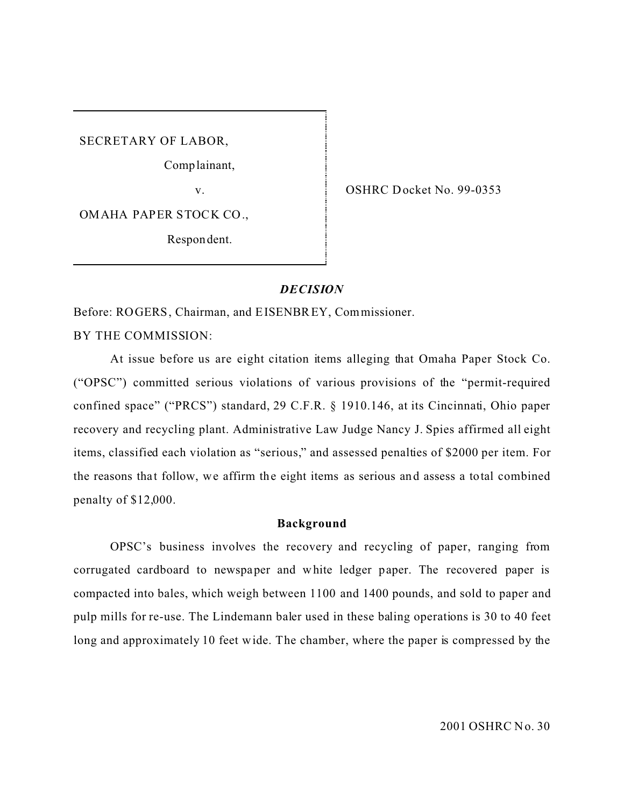SECRETARY OF LABOR,

Comp lainant,

v.

OMAHA PAPER STOCK CO.,

Respon dent.

OSHRC Docket No. 99-0353

### *DECISION*

Before: ROGERS, Chairman, and EISENBREY, Commissioner.

BY THE COMMISSION:

At issue before us are eight citation items alleging that Omaha Paper Stock Co. ("OPSC") committed serious violations of various provisions of the "permit-required confined space" ("PRCS") standard, 29 C.F.R. § 1910.146, at its Cincinnati, Ohio paper recovery and recycling plant. Administrative Law Judge Nancy J. Spies affirmed all eight items, classified each violation as "serious," and assessed penalties of \$2000 per item. For the reasons that follow, we affirm the eight items as serious and assess a total combined penalty of \$12,000.

### **Background**

OPSC's business involves the recovery and recycling of paper, ranging from corrugated cardboard to newspaper and white ledger paper. The recovered paper is compacted into bales, which weigh between 1100 and 1400 pounds, and sold to paper and pulp mills for re-use. The Lindemann baler used in these baling operations is 30 to 40 feet long and approximately 10 feet wide. The chamber, where the paper is compressed by the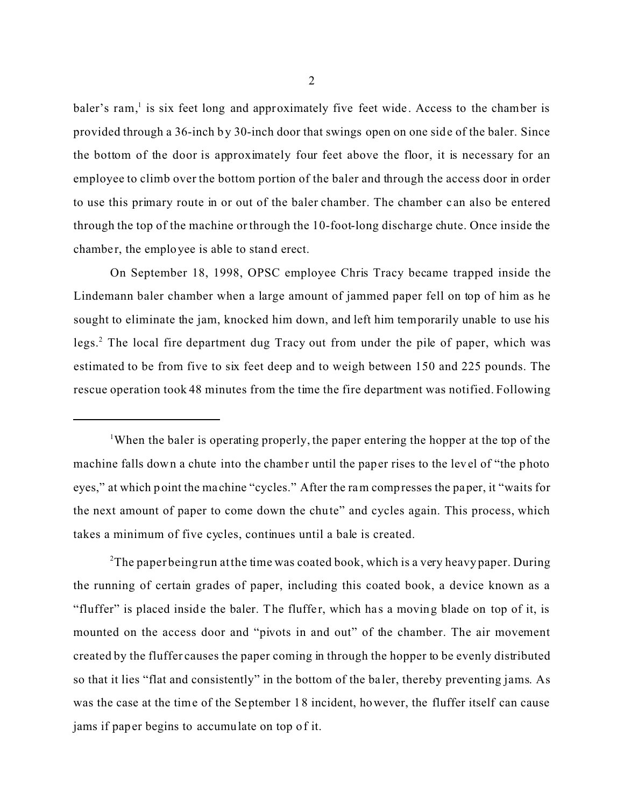baler's ram,<sup>1</sup> is six feet long and approximately five feet wide. Access to the chamber is provided through a 36-inch by 30-inch door that swings open on one side of the baler. Since the bottom of the door is approximately four feet above the floor, it is necessary for an employee to climb over the bottom portion of the baler and through the access door in order to use this primary route in or out of the baler chamber. The chamber c an also be entered through the top of the machine or through the 10-foot-long discharge chute. Once inside the chamber, the employee is able to stand erect.

On September 18, 1998, OPSC employee Chris Tracy became trapped inside the Lindemann baler chamber when a large amount of jammed paper fell on top of him as he sought to eliminate the jam, knocked him down, and left him temporarily unable to use his legs.<sup>2</sup> The local fire department dug Tracy out from under the pile of paper, which was estimated to be from five to six feet deep and to weigh between 150 and 225 pounds. The rescue operation took 48 minutes from the time the fire department was notified. Following

<sup>2</sup>The paper being run at the time was coated book, which is a very heavy paper. During the running of certain grades of paper, including this coated book, a device known as a "fluffer" is placed inside the baler. The fluffer, which has a moving blade on top of it, is mounted on the access door and "pivots in and out" of the chamber. The air movement created by the fluffer causes the paper coming in through the hopper to be evenly distributed so that it lies "flat and consistently" in the bottom of the ba ler, thereby preventing jams. As was the case at the time of the September 18 incident, however, the fluffer itself can cause jams if paper begins to accumulate on top of it.

<sup>&</sup>lt;sup>1</sup>When the baler is operating properly, the paper entering the hopper at the top of the machine falls down a chute into the chamber until the paper rises to the level of "the photo" eyes," at which point the machine "cycles." After the ram compresses the paper, it "waits for the next amount of paper to come down the chute" and cycles again. This process, which takes a minimum of five cycles, continues until a bale is created.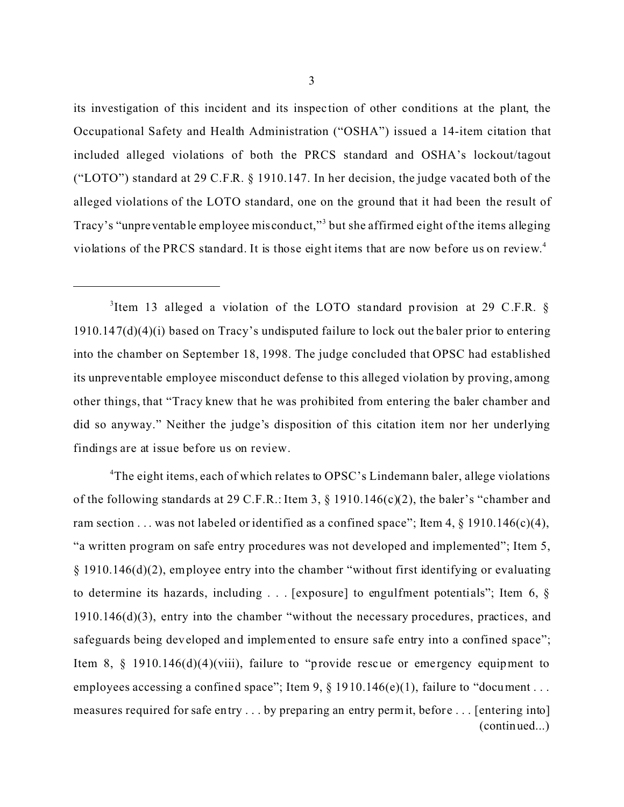its investigation of this incident and its inspec tion of other conditions at the plant, the Occupational Safety and Health Administration ("OSHA") issued a 14-item citation that included alleged violations of both the PRCS standard and OSHA's lockout/tagout ("LOTO") standard at 29 C.F.R. § 1910.147. In her decision, the judge vacated both of the alleged violations of the LOTO standard, one on the ground that it had been the result of Tracy's "unpreventable employee misconduct,"<sup>3</sup> but she affirmed eight of the items alleging violations of the PRCS standard. It is those eight items that are now before us on review. 4

<sup>3</sup>Item 13 alleged a violation of the LOTO standard provision at 29 C.F.R.  $\S$ 1910.147(d)(4)(i) based on Tracy's undisputed failure to lock out the baler prior to entering into the chamber on September 18, 1998. The judge concluded that OPSC had established its unpreventable employee misconduct defense to this alleged violation by proving, among other things, that "Tracy knew that he was prohibited from entering the baler chamber and did so anyway." Neither the judge's disposition of this citation item nor her underlying findings are at issue before us on review.

<sup>4</sup>The eight items, each of which relates to OPSC's Lindemann baler, allege violations of the following standards at 29 C.F.R.: Item 3, § 1910.146(c)(2), the baler's "chamber and ram section . . . was not labeled or identified as a confined space"; Item 4,  $\S$  1910.146(c)(4), "a written program on safe entry procedures was not developed and implemented"; Item 5, § 1910.146(d)(2), em ployee entry into the chamber "without first identifying or evaluating to determine its hazards, including  $\ldots$  [exposure] to engulfment potentials"; Item 6,  $\S$ 1910.146(d)(3), entry into the chamber "without the necessary procedures, practices, and safeguards being developed and implemented to ensure safe entry into a confined space"; Item 8,  $\S$  1910.146(d)(4)(viii), failure to "provide rescue or emergency equipment to employees accessing a confined space"; Item 9,  $\S$  1910.146(e)(1), failure to "document ... measures required for safe entry . . . by preparing an entry permit, before . . . [entering into] (continued...)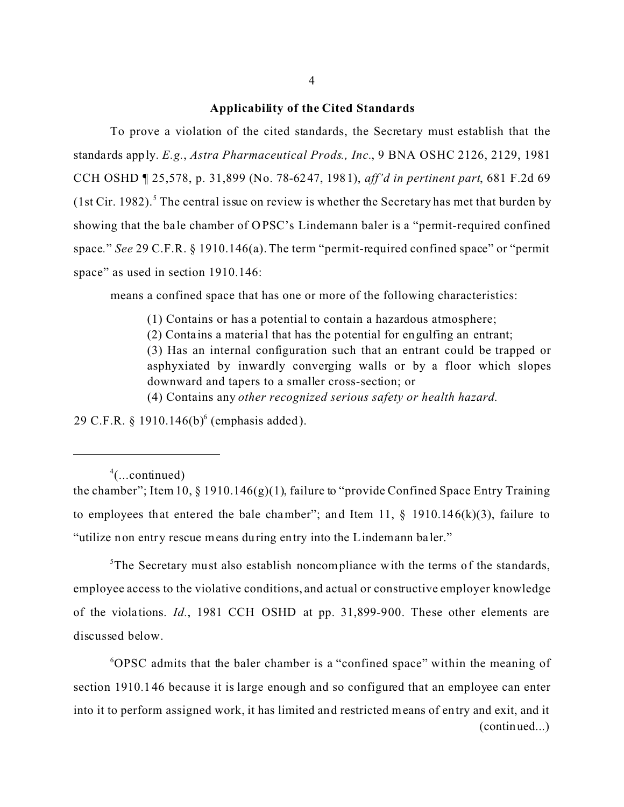#### **Applicability of the Cited Standards**

To prove a violation of the cited standards, the Secretary must establish that the standards apply. *E.g.*, *Astra Pharmaceutical Prods., Inc.*, 9 BNA OSHC 2126, 2129, 1981 CCH OSHD ¶ 25,578, p. 31,899 (No. 78-6247, 1981), *aff'd in pertinent part*, 681 F.2d 69 (1st Cir. 1982).<sup>5</sup> The central issue on review is whether the Secretary has met that burden by showing that the ba le chamber of OPSC's Lindemann baler is a "permit-required confined space*.*" *See* 29 C.F.R. § 1910.146(a). The term "permit-required confined space" or "permit space" as used in section 1910.146:

means a confined space that has one or more of the following characteristics:

(1) Contains or has a potential to contain a hazardous atmosphere;

(2) Contains a material that has the potential for engulfing an entrant;

(3) Has an internal configuration such that an entrant could be trapped or asphyxiated by inwardly converging walls or by a floor which slopes downward and tapers to a smaller cross-section; or

(4) Contains any *other recognized serious safety or health hazard*.

29 C.F.R.  $\S 1910.146(b)^6$  (emphasis added).

<sup>5</sup>The Secretary must also establish noncompliance with the terms of the standards, employee access to the violative conditions, and actual or constructive employer knowledge of the viola tions. *Id.*, 1981 CCH OSHD at pp. 31,899-900. These other elements are discussed below.

6 OPSC admits that the baler chamber is a "confined space" within the meaning of section 1910.1 46 because it is large enough and so configured that an employee can enter into it to perform assigned work, it has limited and restricted means of entry and exit, and it (continued...)

 $4$ (...continued)

the chamber"; Item 10,  $\S$  1910.146(g)(1), failure to "provide Confined Space Entry Training to employees that entered the bale chamber"; and Item 11,  $\S$  1910.146(k)(3), failure to "utilize non entry rescue means during entry into the Lindemann ba ler."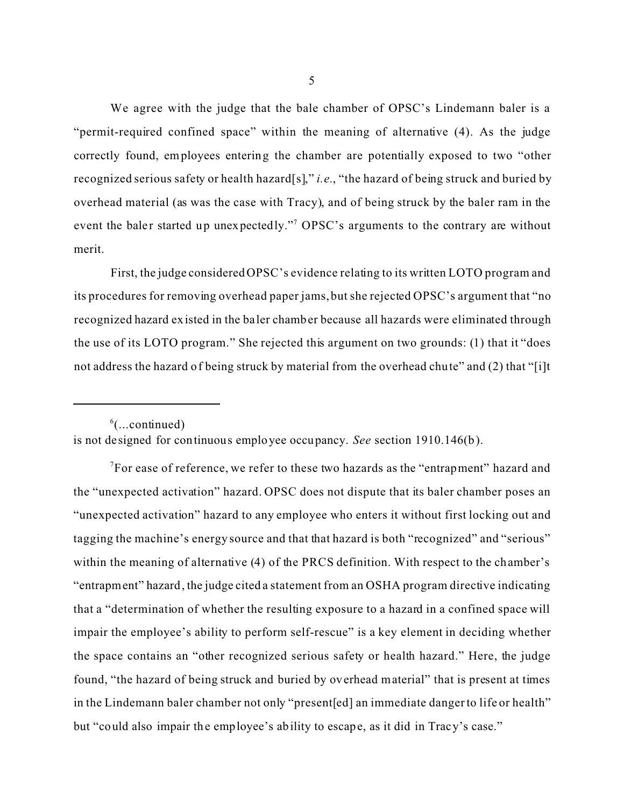We agree with the judge that the bale chamber of OPSC's Lindemann baler is a "permit-required confined space" within the meaning of alternative (4). As the judge correctly found, employees entering the chamber are potentially exposed to two "other recognized serious safety or health hazard[s]," *i.e.*, "the hazard of being struck and buried by overhead material (as was the case with Tracy), and of being struck by the baler ram in the event the baler started up unexpectedly."<sup>7</sup> OPSC's arguments to the contrary are without merit.

First, the judge considered OPSC's evidence relating to its written LOTO program and its procedures for removing overhead paper jams, but she rejected OPSC's argument that "no recognized hazard existed in the ba ler chamber because all hazards were eliminated through the use of its LOTO program." She rejected this argument on two grounds: (1) that it "does not address the hazard of being struck by material from the overhead chute" and (2) that "[i]t

 $^6$ (...continued) is not designed for continuous employee occupancy. *See* section 1910.146(b).

 $\sqrt{7}$ For ease of reference, we refer to these two hazards as the "entrapment" hazard and the "unexpected activation" hazard. OPSC does not dispute that its baler chamber poses an "unexpected activation" hazard to any employee who enters it without first locking out and tagging the machine's energy source and that that hazard is both "recognized" and "serious" within the meaning of alternative (4) of the PRCS definition. With respect to the chamber's "entrapment" hazard, the judge cited a statement from an OSHA program directive indicating that a "determination of whether the resulting exposure to a hazard in a confined space will impair the employee's ability to perform self-rescue" is a key element in deciding whether the space contains an "other recognized serious safety or health hazard." Here, the judge found, "the hazard of being struck and buried by overhead material" that is present at times in the Lindemann baler chamber not only "present[ed] an immediate danger to life or health" but "could also impair the employee's ability to escape, as it did in Tracy's case."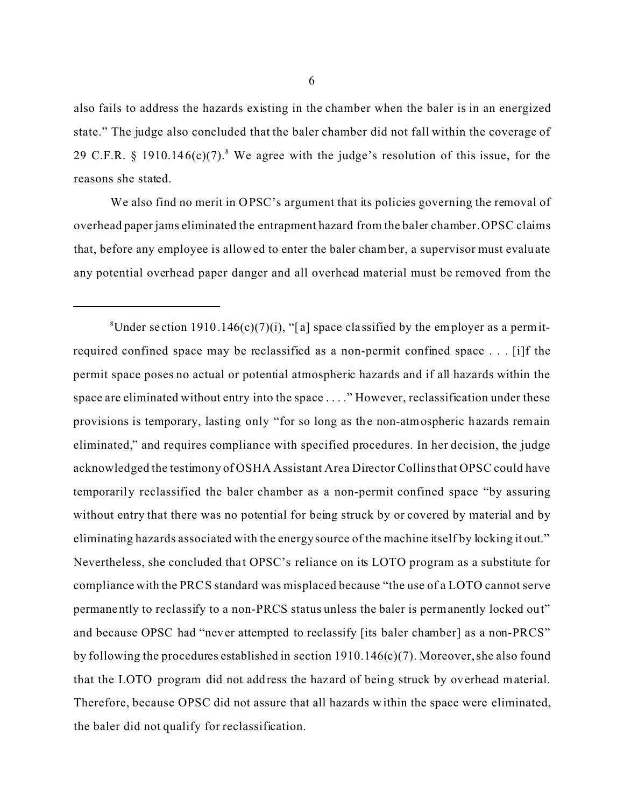also fails to address the hazards existing in the chamber when the baler is in an energized state." The judge also concluded that the baler chamber did not fall within the coverage of 29 C.F.R. § 1910.146 $(c)(7)$ .<sup>8</sup> We agree with the judge's resolution of this issue, for the reasons she stated.

We also find no merit in OPSC's argument that its policies governing the removal of overhead paper jams eliminated the entrapment hazard from the baler chamber. OPSC claims that, before any employee is allowed to enter the baler chamber, a supervisor must evaluate any potential overhead paper danger and all overhead material must be removed from the

<sup>&</sup>lt;sup>8</sup>Under section 1910.146(c)(7)(i), "[a] space classified by the employer as a permitrequired confined space may be reclassified as a non-permit confined space . . . [i]f the permit space poses no actual or potential atmospheric hazards and if all hazards within the space are eliminated without entry into the space . . . ." However, reclassification under these provisions is temporary, lasting only "for so long as the non-atmospheric hazards remain eliminated," and requires compliance with specified procedures. In her decision, the judge acknowledged the testimony of OSHA Assistant Area Director Collins that OPSC could have temporarily reclassified the baler chamber as a non-permit confined space "by assuring without entry that there was no potential for being struck by or covered by material and by eliminating hazards associated with the energy source of the machine itself by locking it out." Nevertheless, she concluded that OPSC's reliance on its LOTO program as a substitute for compliance with the PRCS standard was misplaced because "the use of a LOTO cannot serve permanently to reclassify to a non-PRCS status unless the baler is permanently locked out" and because OPSC had "never attempted to reclassify [its baler chamber] as a non-PRCS" by following the procedures established in section  $1910.146(c)(7)$ . Moreover, she also found that the LOTO program did not address the hazard of being struck by overhead material. Therefore, because OPSC did not assure that all hazards w ithin the space were eliminated, the baler did not qualify for reclassification.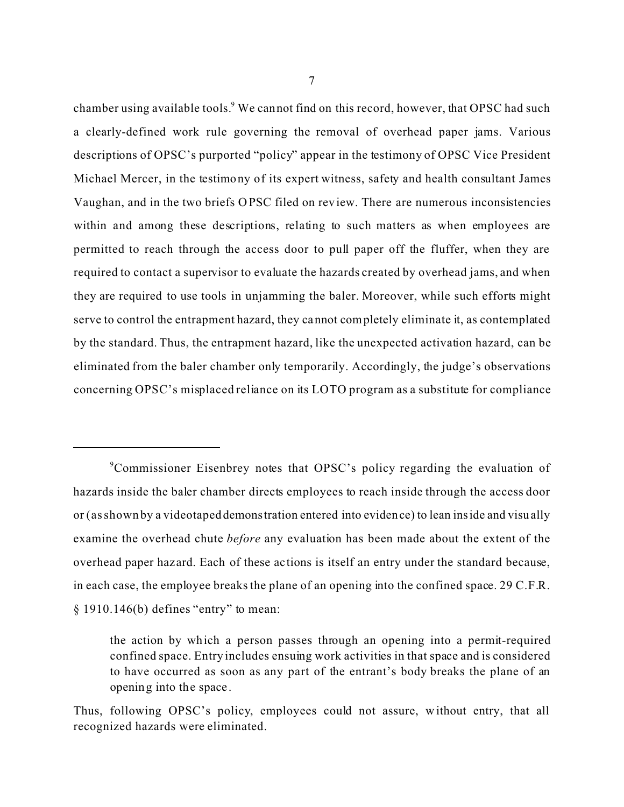chamber using available tools. We cannot find on this record, however, that OPSC had such a clearly-defined work rule governing the removal of overhead paper jams. Various descriptions of OPSC's purported "policy" appear in the testimony of OPSC Vice President Michael Mercer, in the testimony of its expert witness, safety and health consultant James Vaughan, and in the two briefs OPSC filed on review. There are numerous inconsistencies within and among these descriptions, relating to such matters as when employees are permitted to reach through the access door to pull paper off the fluffer, when they are required to contact a supervisor to evaluate the hazards created by overhead jams, and when they are required to use tools in unjamming the baler. Moreover, while such efforts might serve to control the entrapment hazard, they cannot completely eliminate it, as contemplated by the standard. Thus, the entrapment hazard, like the unexpected activation hazard, can be eliminated from the baler chamber only temporarily. Accordingly, the judge's observations concerning OPSC's misplaced reliance on its LOTO program as a substitute for compliance

<sup>9</sup> Commissioner Eisenbrey notes that OPSC's policy regarding the evaluation of hazards inside the baler chamber directs employees to reach inside through the access door or (as shown by a videotaped demonstration entered into evidence) to lean inside and visually examine the overhead chute *before* any evaluation has been made about the extent of the overhead paper haz ard. Each of these ac tions is itself an entry under the standard because, in each case, the employee breaks the plane of an opening into the confined space. 29 C.F.R. § 1910.146(b) defines "entry" to mean:

the action by which a person passes through an opening into a permit-required confined space. Entry includes ensuing work activities in that space and is considered to have occurred as soon as any part of the entrant's body breaks the plane of an opening into the space .

Thus, following OPSC's policy, employees could not assure, w ithout entry, that all recognized hazards were eliminated.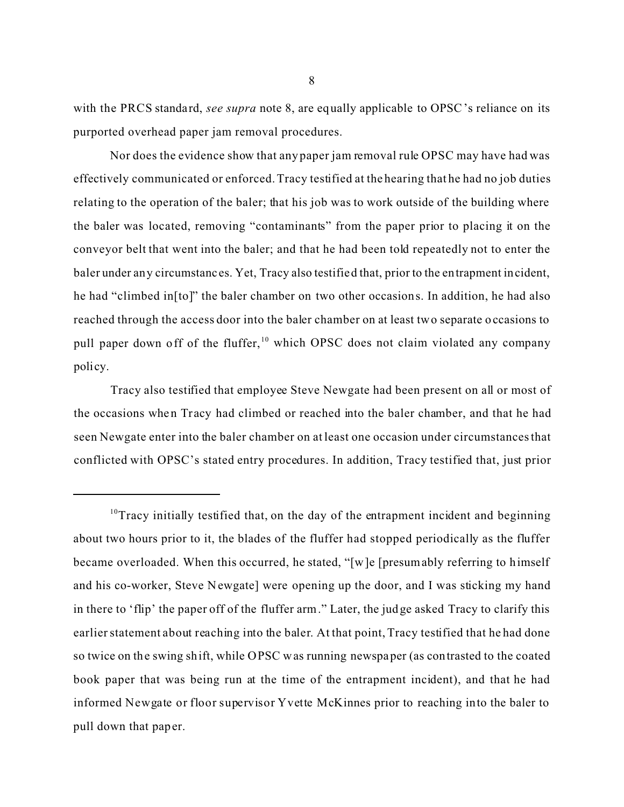with the PRCS standard, *see supra* note 8, are equally applicable to OPSC's reliance on its purported overhead paper jam removal procedures.

Nor does the evidence show that any paper jam removal rule OPSC may have had was effectively communicated or enforced. Tracy testified at the hearing that he had no job duties relating to the operation of the baler; that his job was to work outside of the building where the baler was located, removing "contaminants" from the paper prior to placing it on the conveyor belt that went into the baler; and that he had been told repeatedly not to enter the baler under any circumstanc es. Yet, Tracy also testified that, prior to the entrapment incident, he had "climbed in[to]" the baler chamber on two other occasions. In addition, he had also reached through the access door into the baler chamber on at least two separate occasions to pull paper down off of the fluffer,  $10$  which OPSC does not claim violated any company policy.

Tracy also testified that employee Steve Newgate had been present on all or most of the occasions when Tracy had climbed or reached into the baler chamber, and that he had seen Newgate enter into the baler chamber on at least one occasion under circumstances that conflicted with OPSC's stated entry procedures. In addition, Tracy testified that, just prior

<sup>&</sup>lt;sup>10</sup>Tracy initially testified that, on the day of the entrapment incident and beginning about two hours prior to it, the blades of the fluffer had stopped periodically as the fluffer became overloaded. When this occurred, he stated, "[w]e [presumably referring to himself and his co-worker, Steve N ewgate] were opening up the door, and I was sticking my hand in there to 'flip' the paper off of the fluffer arm." Later, the judge asked Tracy to clarify this earlier statement about reaching into the baler. At that point, Tracy testified that he had done so twice on the swing shift, while OPSC was running newspaper (as contrasted to the coated book paper that was being run at the time of the entrapment incident), and that he had informed Newgate or floor supervisor Yvette McKinnes prior to reaching into the baler to pull down that paper.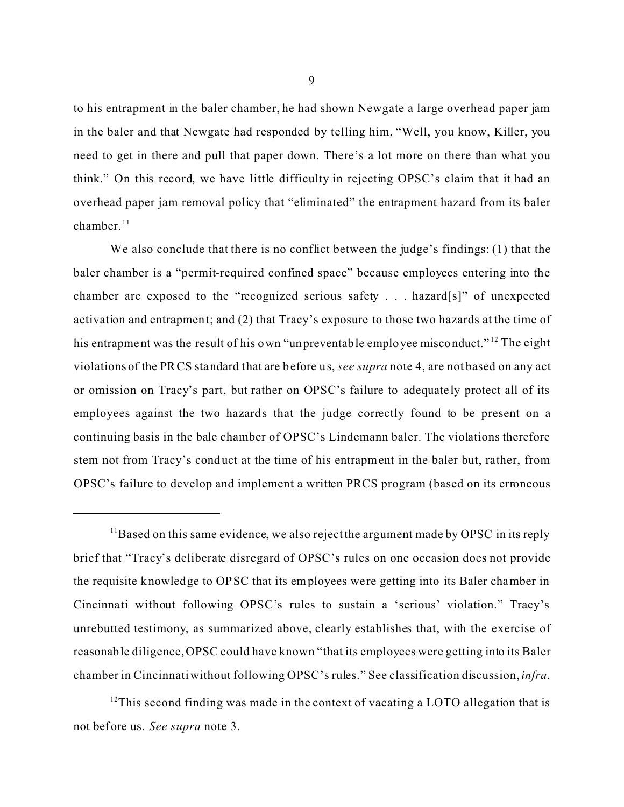to his entrapment in the baler chamber, he had shown Newgate a large overhead paper jam in the baler and that Newgate had responded by telling him, "Well, you know, Killer, you need to get in there and pull that paper down. There's a lot more on there than what you think." On this record, we have little difficulty in rejecting OPSC's claim that it had an overhead paper jam removal policy that "eliminated" the entrapment hazard from its baler chamber. $11$ 

We also conclude that there is no conflict between the judge's findings: (1) that the baler chamber is a "permit-required confined space" because employees entering into the chamber are exposed to the "recognized serious safety . . . hazard[s]" of unexpected activation and entrapment; and (2) that Tracy's exposure to those two hazards at the time of his entrapment was the result of his own "unpreventable employee misconduct."<sup>12</sup> The eight violations of the PRCS standard that are before us, *see supra* note 4, are not based on any act or omission on Tracy's part, but rather on OPSC's failure to adequately protect all of its employees against the two hazards that the judge correctly found to be present on a continuing basis in the bale chamber of OPSC's Lindemann baler. The violations therefore stem not from Tracy's conduct at the time of his entrapment in the baler but, rather, from OPSC's failure to develop and implement a written PRCS program (based on its erroneous

 $12$ This second finding was made in the context of vacating a LOTO allegation that is not before us. *See supra* note 3.

 $11$ Based on this same evidence, we also reject the argument made by OPSC in its reply brief that "Tracy's deliberate disregard of OPSC's rules on one occasion does not provide the requisite knowledge to OPSC that its employees were getting into its Baler chamber in Cincinna ti without following OPSC's rules to sustain a 'serious' violation." Tracy's unrebutted testimony, as summarized above, clearly establishes that, with the exercise of reasonable diligence, OPSC could have known "that its employees were getting into its Baler chamber in Cincinnati without following OPSC's rules." See classification discussion, *infra*.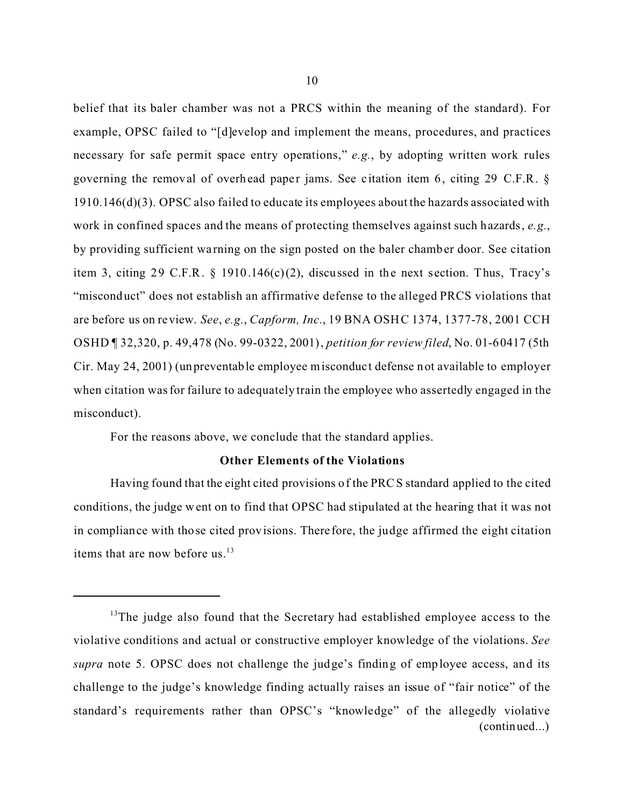belief that its baler chamber was not a PRCS within the meaning of the standard). For example, OPSC failed to "[d]evelop and implement the means, procedures, and practices necessary for safe permit space entry operations," *e.g.*, by adopting written work rules governing the removal of overhead paper jams. See citation item 6, citing 29 C.F.R.  $\S$ 1910.146(d)(3). OPSC also failed to educate its employees about the hazards associated with work in confined spaces and the means of protecting themselves against such hazards, *e.g.*, by providing sufficient wa rning on the sign posted on the baler chamber door. See citation item 3, citing 29 C.F.R. § 1910.146(c)(2), discussed in the next section. Thus, Tracy's "misconduct" does not establish an affirmative defense to the alleged PRCS violations that are before us on review. *See*, *e.g.*, *Capform, Inc.*, 19 BNA OSHC 1374, 1377-78, 2001 CCH OSHD ¶ 32,320, p. 49,478 (No. 99-0322, 2001), *petition for review filed*, No. 01-60417 (5th Cir. May 24, 2001) (unpreventable employee misconduct defense not available to employer when citation was for failure to adequately train the employee who assertedly engaged in the misconduct).

For the reasons above, we conclude that the standard applies.

## **Other Elements of the Violations**

Having found that the eight cited provisions of the PRCS standard applied to the cited conditions, the judge went on to find that OPSC had stipulated at the hearing that it was not in compliance with those cited provisions. There fore, the judge affirmed the eight citation items that are now before us.<sup>13</sup>

 $13$ The judge also found that the Secretary had established employee access to the violative conditions and actual or constructive employer knowledge of the violations. *See supra* note 5. OPSC does not challenge the judge's finding of employee access, and its challenge to the judge's knowledge finding actually raises an issue of "fair notice" of the standard's requirements rather than OPSC's "knowledge" of the allegedly violative (continued...)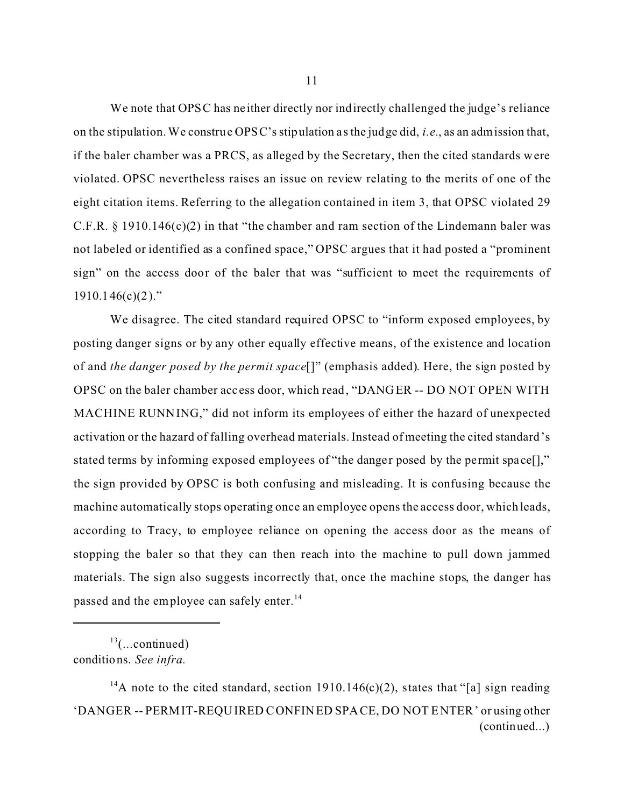We note that OPSC has neither directly nor indirectly challenged the judge's reliance on the stipulation. We construe OPSC's stipulation a s the judge did, *i.e.*, as an admission that, if the baler chamber was a PRCS, as alleged by the Secretary, then the cited standards were violated. OPSC nevertheless raises an issue on review relating to the merits of one of the eight citation items. Referring to the allegation contained in item 3, that OPSC violated 29 C.F.R.  $\S$  1910.146(c)(2) in that "the chamber and ram section of the Lindemann baler was not labeled or identified as a confined space," OPSC argues that it had posted a "prominent sign" on the access door of the baler that was "sufficient to meet the requirements of  $1910.146(c)(2)$ ."

We disagree. The cited standard required OPSC to "inform exposed employees, by posting danger signs or by any other equally effective means, of the existence and location of and *the danger posed by the permit space*[]" (emphasis added). Here, the sign posted by OPSC on the baler chamber acc ess door, which read, "DANGER -- DO NOT OPEN WITH MACHINE RUNNING," did not inform its employees of either the hazard of unexpected activation or the hazard of falling overhead materials. Instead of meeting the cited standard's stated terms by informing exposed employees of "the danger posed by the permit space..." the sign provided by OPSC is both confusing and misleading. It is confusing because the machine automatically stops operating once an employee opens the access door, which leads, according to Tracy, to employee reliance on opening the access door as the means of stopping the baler so that they can then reach into the machine to pull down jammed materials. The sign also suggests incorrectly that, once the machine stops, the danger has passed and the employee can safely enter.<sup>14</sup>

 $13$ (...continued) conditions. *See infra.* 

<sup>&</sup>lt;sup>14</sup>A note to the cited standard, section 1910.146(c)(2), states that "[a] sign reading 'DANGER -- PERMIT-REQUIRED CONFINED SPACE, DO NOT ENTER' or using other (continued...)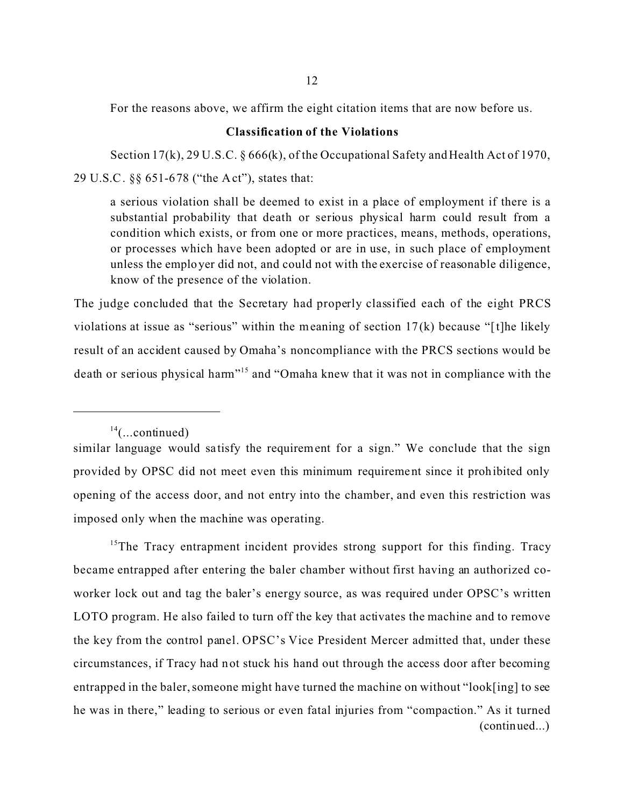For the reasons above, we affirm the eight citation items that are now before us.

### **Classification of the Violations**

Section 17(k), 29 U.S.C. § 666(k), of the Occupational Safety and Health Act of 1970, 29 U.S.C. §§ 651-678 ("the Act"), states that:

a serious violation shall be deemed to exist in a place of employment if there is a substantial probability that death or serious physical harm could result from a condition which exists, or from one or more practices, means, methods, operations, or processes which have been adopted or are in use, in such place of employment unless the employer did not, and could not with the exercise of reasonable diligence, know of the presence of the violation.

The judge concluded that the Secretary had properly classified each of the eight PRCS violations at issue as "serious" within the meaning of section 17(k) because "[t]he likely result of an accident caused by Omaha's noncompliance with the PRCS sections would be death or serious physical harm"15 and "Omaha knew that it was not in compliance with the

<sup>15</sup>The Tracy entrapment incident provides strong support for this finding. Tracy became entrapped after entering the baler chamber without first having an authorized coworker lock out and tag the baler's energy source, as was required under OPSC's written LOTO program. He also failed to turn off the key that activates the machine and to remove the key from the control panel. OPSC's Vice President Mercer admitted that, under these circumstances, if Tracy had not stuck his hand out through the access door after becoming entrapped in the baler, someone might have turned the machine on without "look[ing] to see he was in there," leading to serious or even fatal injuries from "compaction." As it turned (continued...)

 $14$ (...continued)

similar language would satisfy the requirement for a sign." We conclude that the sign provided by OPSC did not meet even this minimum requirement since it prohibited only opening of the access door, and not entry into the chamber, and even this restriction was imposed only when the machine was operating.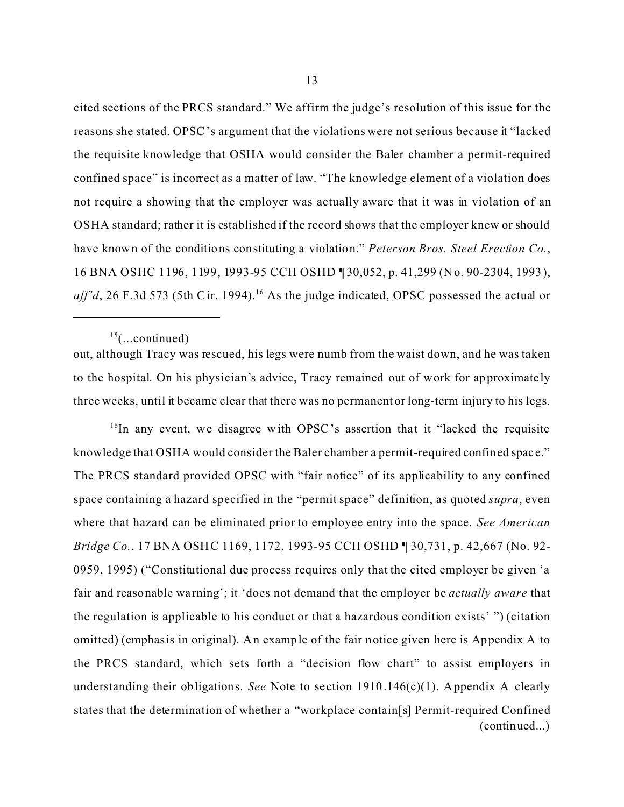cited sections of the PRCS standard." We affirm the judge's resolution of this issue for the reasons she stated. OPSC's argument that the violations were not serious because it "lacked the requisite knowledge that OSHA would consider the Baler chamber a permit-required confined space" is incorrect as a matter of law. "The knowledge element of a violation does not require a showing that the employer was actually aware that it was in violation of an OSHA standard; rather it is established if the record shows that the employer knew or should have known of the conditions constituting a violation." *Peterson Bros. Steel Erection Co.*, 16 BNA OSHC 1196, 1199, 1993-95 CCH OSHD ¶ 30,052, p. 41,299 (No. 90-2304, 1993), *aff'd*, 26 F.3d 573 (5th Cir. 1994).<sup>16</sup> As the judge indicated, OPSC possessed the actual or

out, although Tracy was rescued, his legs were numb from the waist down, and he was taken to the hospital. On his physician's advice, Tracy remained out of work for approximate ly three weeks, until it became clear that there was no permanent or long-term injury to his legs.

 $16$ In any event, we disagree with OPSC's assertion that it "lacked the requisite knowledge that OSHA would consider the Baler chamber a permit-required confined spac e." The PRCS standard provided OPSC with "fair notice" of its applicability to any confined space containing a hazard specified in the "permit space" definition, as quoted *supra*, even where that hazard can be eliminated prior to employee entry into the space. *See American Bridge Co.*, 17 BNA OSHC 1169, 1172, 1993-95 CCH OSHD ¶ 30,731, p. 42,667 (No. 92- 0959, 1995) ("Constitutional due process requires only that the cited employer be given 'a fair and reasonable wa rning'; it 'does not demand that the employer be *actually aware* that the regulation is applicable to his conduct or that a hazardous condition exists' ") (citation omitted) (emphasis in original). An example of the fair notice given here is Appendix A to the PRCS standard, which sets forth a "decision flow chart" to assist employers in understanding their obligations. *See* Note to section 1910.146(c)(1). Appendix A clearly states that the determination of whether a "workplace contain[s] Permit-required Confined (continued...)

 $^{15}$ (...continued)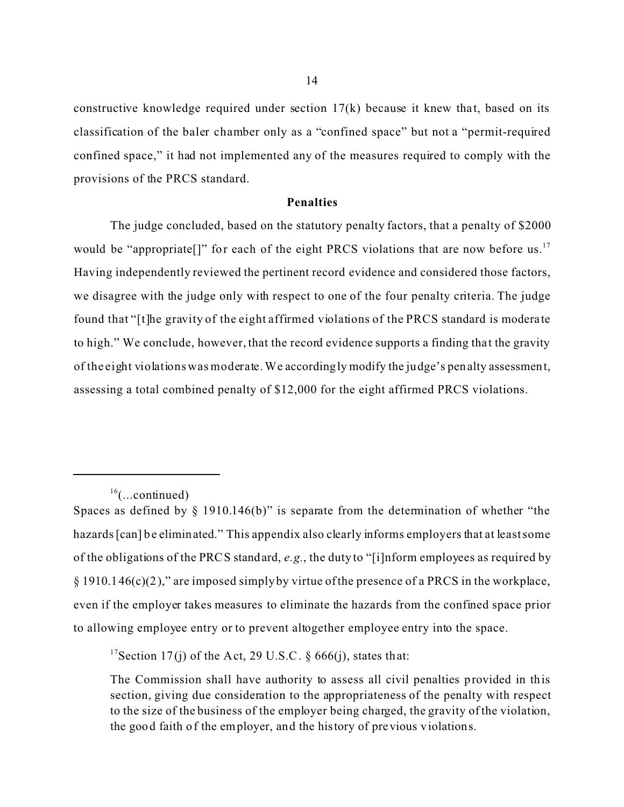constructive knowledge required under section  $17(k)$  because it knew that, based on its classification of the baler chamber only as a "confined space" but not a "permit-required confined space," it had not implemented any of the measures required to comply with the provisions of the PRCS standard.

### **Penalties**

The judge concluded, based on the statutory penalty factors, that a penalty of \$2000 would be "appropriate[]" for each of the eight PRCS violations that are now before us.<sup>17</sup> Having independently reviewed the pertinent record evidence and considered those factors, we disagree with the judge only with respect to one of the four penalty criteria. The judge found that "[t]he gravity of the eight affirmed violations of the PRCS standard is moderate to high." We conclude, however, that the record evidence supports a finding tha t the gravity of the eight violations was moderate. We accordingly modify the judge's penalty assessment, assessing a total combined penalty of \$12,000 for the eight affirmed PRCS violations.

<sup>17</sup>Section 17(j) of the Act, 29 U.S.C.  $\S$  666(j), states that:

 $16$ (...continued)

Spaces as defined by  $\S$  1910.146(b)" is separate from the determination of whether "the hazards [can] be eliminated." This appendix also clearly informs employers that at least some of the obligations of the PRCS standard, *e.g.*, the duty to "[i]nform employees as required by  $\S$  1910.146(c)(2)," are imposed simply by virtue of the presence of a PRCS in the workplace, even if the employer takes measures to eliminate the hazards from the confined space prior to allowing employee entry or to prevent altogether employee entry into the space.

The Commission shall have authority to assess all civil penalties provided in this section, giving due consideration to the appropriateness of the penalty with respect to the size of the business of the employer being charged, the gravity of the violation, the good faith of the employer, and the history of previous violations.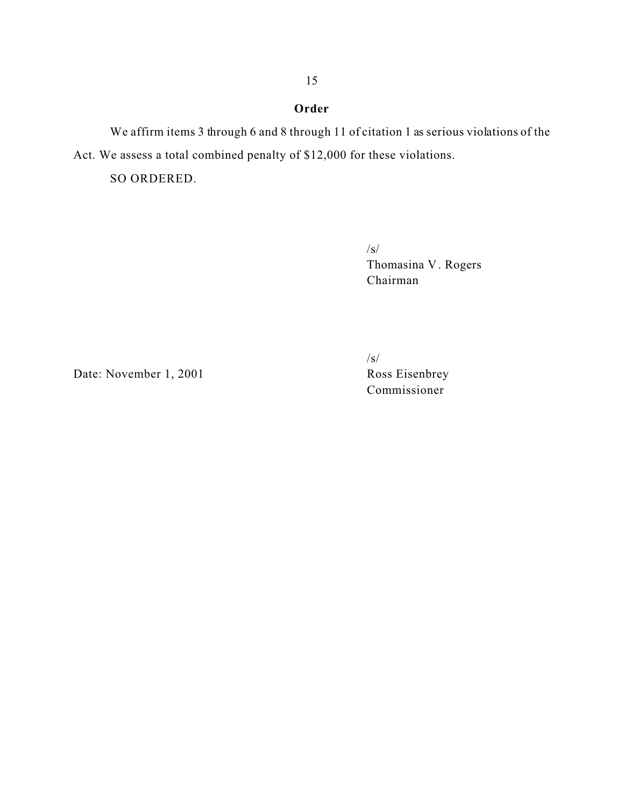# **Order**

We affirm items 3 through 6 and 8 through 11 of citation 1 as serious violations of the Act. We assess a total combined penalty of \$12,000 for these violations.

SO ORDERED.

/s/ Thomasina V . Rogers Chairman

Date: November 1, 2001 Ross Eisenbrey

/s/

Commissioner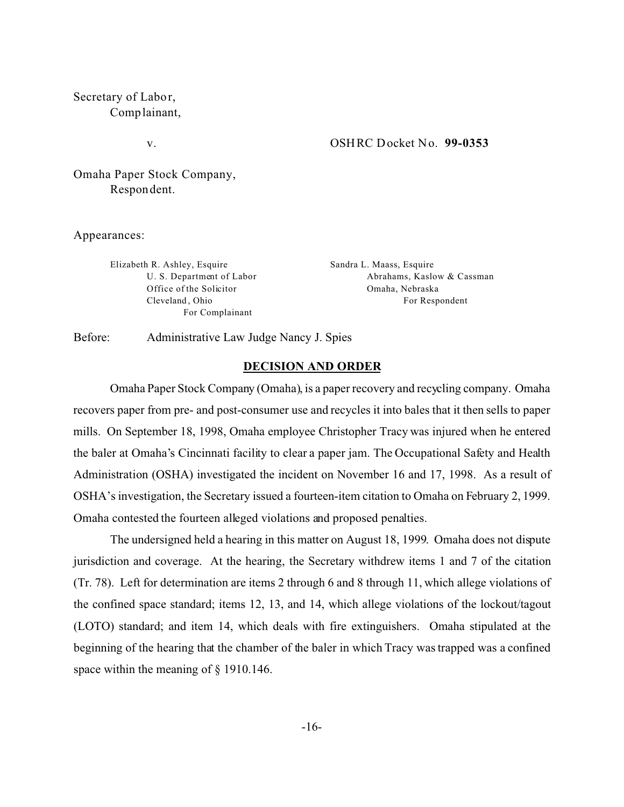Secretary of Labor, Complainant,

v.

#### OSHRC Docket No. **99-0353**

Omaha Paper Stock Company, Respondent.

Appearances:

Elizabeth R. Ashley, Esquire U. S. Department of Labor Office of the Solicitor Cleveland , Ohio For Complainant

Sandra L. Maass, Esquire Abrahams, Kaslow & Cassman Omaha, Nebraska For Respondent

Before: Administrative Law Judge Nancy J. Spies

### **DECISION AND ORDER**

Omaha Paper Stock Company (Omaha), is a paper recovery and recycling company. Omaha recovers paper from pre- and post-consumer use and recycles it into bales that it then sells to paper mills. On September 18, 1998, Omaha employee Christopher Tracy was injured when he entered the baler at Omaha's Cincinnati facility to clear a paper jam. The Occupational Safety and Health Administration (OSHA) investigated the incident on November 16 and 17, 1998. As a result of OSHA's investigation, the Secretary issued a fourteen-item citation to Omaha on February 2, 1999. Omaha contested the fourteen alleged violations and proposed penalties.

The undersigned held a hearing in this matter on August 18, 1999. Omaha does not dispute jurisdiction and coverage. At the hearing, the Secretary withdrew items 1 and 7 of the citation (Tr. 78). Left for determination are items 2 through 6 and 8 through 11, which allege violations of the confined space standard; items 12, 13, and 14, which allege violations of the lockout/tagout (LOTO) standard; and item 14, which deals with fire extinguishers. Omaha stipulated at the beginning of the hearing that the chamber of the baler in which Tracy was trapped was a confined space within the meaning of  $\S$  1910.146.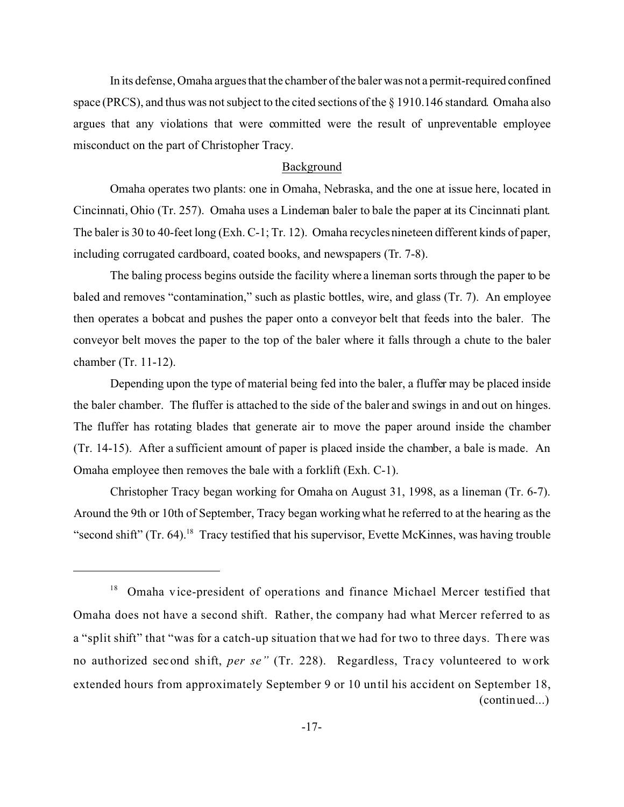In its defense, Omaha argues that the chamber of the baler was not a permit-required confined space (PRCS), and thus was not subject to the cited sections of the  $\S 1910.146$  standard. Omaha also argues that any violations that were committed were the result of unpreventable employee misconduct on the part of Christopher Tracy.

## Background

Omaha operates two plants: one in Omaha, Nebraska, and the one at issue here, located in Cincinnati, Ohio (Tr. 257). Omaha uses a Lindeman baler to bale the paper at its Cincinnati plant. The baler is 30 to 40-feet long (Exh. C-1; Tr. 12). Omaha recycles nineteen different kinds of paper, including corrugated cardboard, coated books, and newspapers (Tr. 7-8).

The baling process begins outside the facility where a lineman sorts through the paper to be baled and removes "contamination," such as plastic bottles, wire, and glass (Tr. 7). An employee then operates a bobcat and pushes the paper onto a conveyor belt that feeds into the baler. The conveyor belt moves the paper to the top of the baler where it falls through a chute to the baler chamber (Tr. 11-12).

Depending upon the type of material being fed into the baler, a fluffer may be placed inside the baler chamber. The fluffer is attached to the side of the baler and swings in and out on hinges. The fluffer has rotating blades that generate air to move the paper around inside the chamber (Tr. 14-15). After a sufficient amount of paper is placed inside the chamber, a bale is made. An Omaha employee then removes the bale with a forklift (Exh. C-1).

Christopher Tracy began working for Omaha on August 31, 1998, as a lineman (Tr. 6-7). Around the 9th or 10th of September, Tracy began working what he referred to at the hearing as the "second shift" (Tr. 64).<sup>18</sup> Tracy testified that his supervisor, Evette McKinnes, was having trouble

<sup>&</sup>lt;sup>18</sup> Omaha vice-president of operations and finance Michael Mercer testified that Omaha does not have a second shift. Rather, the company had what Mercer referred to as a "split shift" that "was for a catch-up situation that we had for two to three days. There was no authorized second shift, *per se*" (Tr. 228). Regardless, Tracy volunteered to work extended hours from approximately September 9 or 10 until his accident on September 18, (continued...)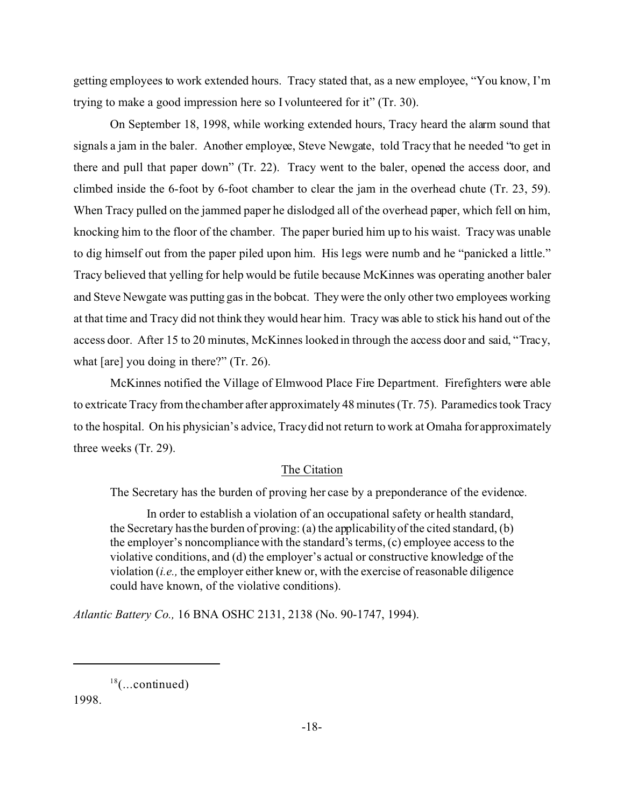getting employees to work extended hours. Tracy stated that, as a new employee, "You know, I'm trying to make a good impression here so I volunteered for it" (Tr. 30).

On September 18, 1998, while working extended hours, Tracy heard the alarm sound that signals a jam in the baler. Another employee, Steve Newgate, told Tracy that he needed "to get in there and pull that paper down" (Tr. 22). Tracy went to the baler, opened the access door, and climbed inside the 6-foot by 6-foot chamber to clear the jam in the overhead chute (Tr. 23, 59). When Tracy pulled on the jammed paper he dislodged all of the overhead paper, which fell on him, knocking him to the floor of the chamber. The paper buried him up to his waist. Tracy was unable to dig himself out from the paper piled upon him. His legs were numb and he "panicked a little." Tracy believed that yelling for help would be futile because McKinnes was operating another baler and Steve Newgate was putting gas in the bobcat. They were the only other two employees working at that time and Tracy did not think they would hear him. Tracy was able to stick his hand out of the access door. After 15 to 20 minutes, McKinnes looked in through the access door and said, "Tracy, what [are] you doing in there?" (Tr. 26).

McKinnes notified the Village of Elmwood Place Fire Department. Firefighters were able to extricate Tracy from the chamber after approximately 48 minutes (Tr. 75). Paramedics took Tracy to the hospital. On his physician's advice, Tracy did not return to work at Omaha for approximately three weeks (Tr. 29).

## The Citation

The Secretary has the burden of proving her case by a preponderance of the evidence.

In order to establish a violation of an occupational safety or health standard, the Secretary has the burden of proving: (a) the applicability of the cited standard, (b) the employer's noncompliance with the standard's terms, (c) employee access to the violative conditions, and (d) the employer's actual or constructive knowledge of the violation (*i.e.,* the employer either knew or, with the exercise of reasonable diligence could have known, of the violative conditions).

*Atlantic Battery Co.,* 16 BNA OSHC 2131, 2138 (No. 90-1747, 1994).

1998.

 $18$ (...continued)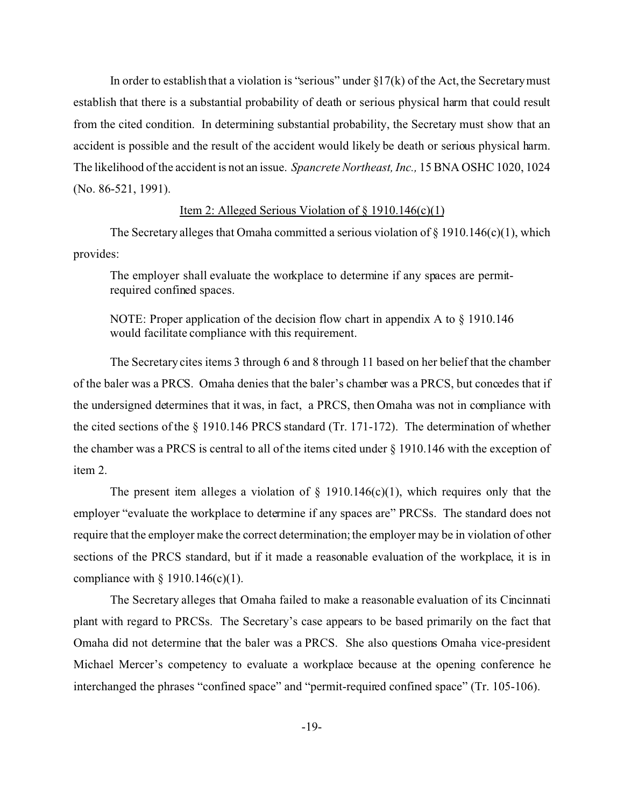In order to establish that a violation is "serious" under  $\S17(k)$  of the Act, the Secretary must establish that there is a substantial probability of death or serious physical harm that could result from the cited condition. In determining substantial probability, the Secretary must show that an accident is possible and the result of the accident would likely be death or serious physical harm. The likelihood of the accident is not an issue. *Spancrete Northeast, Inc.,* 15 BNA OSHC 1020, 1024 (No. 86-521, 1991).

### Item 2: Alleged Serious Violation of § 1910.146(c)(1)

The Secretary alleges that Omaha committed a serious violation of  $\S$  1910.146(c)(1), which provides:

The employer shall evaluate the workplace to determine if any spaces are permitrequired confined spaces.

NOTE: Proper application of the decision flow chart in appendix A to § 1910.146 would facilitate compliance with this requirement.

The Secretary cites items 3 through 6 and 8 through 11 based on her belief that the chamber of the baler was a PRCS. Omaha denies that the baler's chamber was a PRCS, but concedes that if the undersigned determines that it was, in fact, a PRCS, then Omaha was not in compliance with the cited sections of the § 1910.146 PRCS standard (Tr. 171-172). The determination of whether the chamber was a PRCS is central to all of the items cited under § 1910.146 with the exception of item 2.

The present item alleges a violation of  $\S$  1910.146(c)(1), which requires only that the employer "evaluate the workplace to determine if any spaces are" PRCSs. The standard does not require that the employer make the correct determination; the employer may be in violation of other sections of the PRCS standard, but if it made a reasonable evaluation of the workplace, it is in compliance with  $\S$  1910.146(c)(1).

The Secretary alleges that Omaha failed to make a reasonable evaluation of its Cincinnati plant with regard to PRCSs. The Secretary's case appears to be based primarily on the fact that Omaha did not determine that the baler was a PRCS. She also questions Omaha vice-president Michael Mercer's competency to evaluate a workplace because at the opening conference he interchanged the phrases "confined space" and "permit-required confined space" (Tr. 105-106).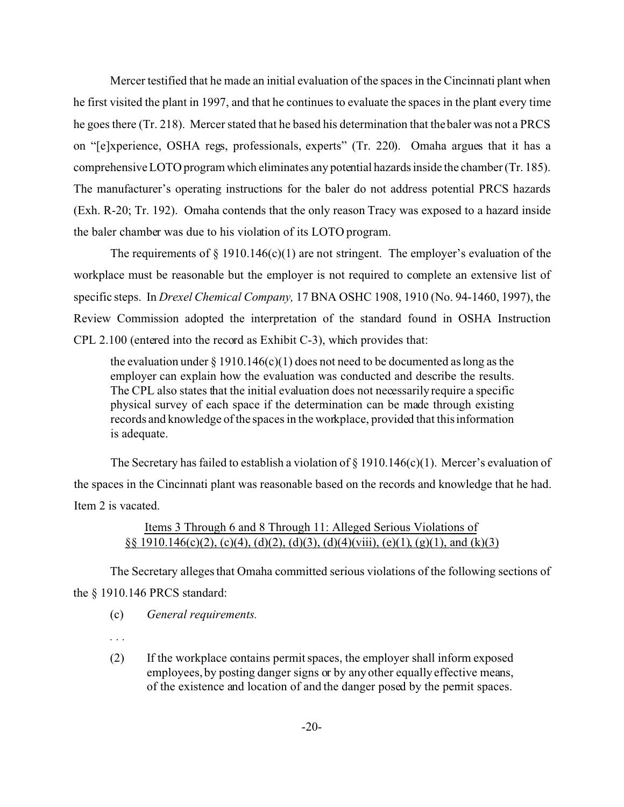Mercer testified that he made an initial evaluation of the spaces in the Cincinnati plant when he first visited the plant in 1997, and that he continues to evaluate the spaces in the plant every time he goes there (Tr. 218). Mercer stated that he based his determination that the baler was not a PRCS on "[e]xperience, OSHA regs, professionals, experts" (Tr. 220). Omaha argues that it has a comprehensive LOTO program which eliminates any potential hazards inside the chamber (Tr. 185). The manufacturer's operating instructions for the baler do not address potential PRCS hazards (Exh. R-20; Tr. 192). Omaha contends that the only reason Tracy was exposed to a hazard inside the baler chamber was due to his violation of its LOTO program.

The requirements of  $\S$  1910.146(c)(1) are not stringent. The employer's evaluation of the workplace must be reasonable but the employer is not required to complete an extensive list of specific steps. In *Drexel Chemical Company,* 17 BNA OSHC 1908, 1910 (No. 94-1460, 1997), the Review Commission adopted the interpretation of the standard found in OSHA Instruction CPL 2.100 (entered into the record as Exhibit C-3), which provides that:

the evaluation under  $\S 1910.146(c)(1)$  does not need to be documented as long as the employer can explain how the evaluation was conducted and describe the results. The CPL also states that the initial evaluation does not necessarily require a specific physical survey of each space if the determination can be made through existing records and knowledge of the spaces in the workplace, provided that this information is adequate.

The Secretary has failed to establish a violation of  $\S$  1910.146(c)(1). Mercer's evaluation of the spaces in the Cincinnati plant was reasonable based on the records and knowledge that he had. Item 2 is vacated.

# Items 3 Through 6 and 8 Through 11: Alleged Serious Violations of §§ 1910.146(c)(2), (c)(4), (d)(2), (d)(3), (d)(4)(viii), (e)(1), (g)(1), and (k)(3)

The Secretary alleges that Omaha committed serious violations of the following sections of the § 1910.146 PRCS standard:

- (c) *General requirements.*
- *. . .*
- (2) If the workplace contains permit spaces, the employer shall inform exposed employees, by posting danger signs or by any other equally effective means, of the existence and location of and the danger posed by the permit spaces.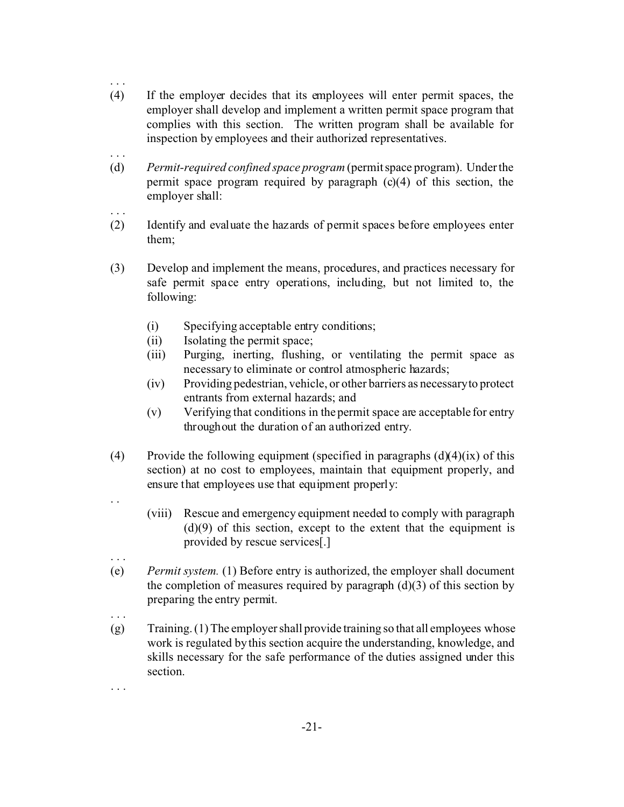- (4) If the employer decides that its employees will enter permit spaces, the employer shall develop and implement a written permit space program that complies with this section. The written program shall be available for inspection by employees and their authorized representatives.
- (d) *Permit-required confined space program* (permit space program). Under the permit space program required by paragraph (c)(4) of this section, the employer shall:
- (2) Identify and evaluate the hazards of permit spaces before employees enter them;
- (3) Develop and implement the means, procedures, and practices necessary for safe permit space entry operations, including, but not limited to, the following:
	- (i) Specifying acceptable entry conditions;
	- (ii) Isolating the permit space;

. . .

. . .

. . .

. .

. . .

. . .

. . .

- (iii) Purging, inerting, flushing, or ventilating the permit space as necessary to eliminate or control atmospheric hazards;
- (iv) Providing pedestrian, vehicle, or other barriers as necessaryto protect entrants from external hazards; and
- (v) Verifying that conditions in the permit space are acceptable for entry throughout the duration of an authorized entry.
- (4) Provide the following equipment (specified in paragraphs  $(d)(4)(ix)$  of this section) at no cost to employees, maintain that equipment properly, and ensure that employees use that equipment properly:
	- (viii) Rescue and emergency equipment needed to comply with paragraph  $(d)(9)$  of this section, except to the extent that the equipment is provided by rescue services[.]
- (e) *Permit system.* (1) Before entry is authorized, the employer shall document the completion of measures required by paragraph  $(d)(3)$  of this section by preparing the entry permit.
- (g) Training. (1) The employer shall provide training so that all employees whose work is regulated by this section acquire the understanding, knowledge, and skills necessary for the safe performance of the duties assigned under this section.
	- -21-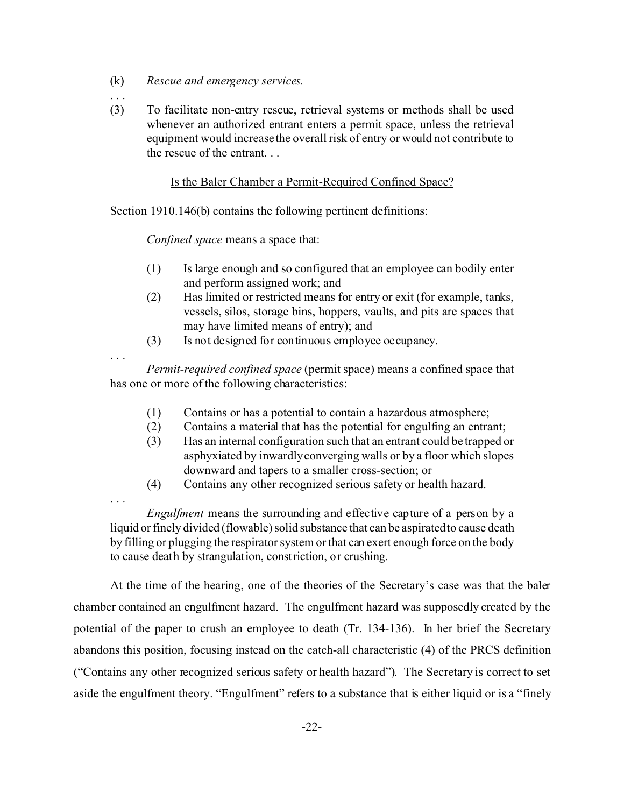- (k) *Rescue and emergency services.*
- (3) To facilitate non-entry rescue, retrieval systems or methods shall be used whenever an authorized entrant enters a permit space, unless the retrieval equipment would increase the overall risk of entry or would not contribute to the rescue of the entrant. . .

### Is the Baler Chamber a Permit-Required Confined Space?

Section 1910.146(b) contains the following pertinent definitions:

*Confined space* means a space that:

- (1) Is large enough and so configured that an employee can bodily enter and perform assigned work; and
- (2) Has limited or restricted means for entry or exit (for example, tanks, vessels, silos, storage bins, hoppers, vaults, and pits are spaces that may have limited means of entry); and
- (3) Is not designed for continuous employee occupancy.

. . .

. . .

. . .

*Permit-required confined space* (permit space) means a confined space that has one or more of the following characteristics:

- (1) Contains or has a potential to contain a hazardous atmosphere;
- (2) Contains a material that has the potential for engulfing an entrant;
- (3) Has an internal configuration such that an entrant could be trapped or asphyxiated by inwardly converging walls or by a floor which slopes downward and tapers to a smaller cross-section; or
- (4) Contains any other recognized serious safety or health hazard.

*Engulfment* means the surrounding and effective capture of a person by a liquid or finely divided (flowable) solid substance that can be aspiratedto cause death by filling or plugging the respirator system or that can exert enough force on the body to cause death by strangulation, constriction, or crushing.

At the time of the hearing, one of the theories of the Secretary's case was that the baler chamber contained an engulfment hazard. The engulfment hazard was supposedly created by the potential of the paper to crush an employee to death (Tr. 134-136). In her brief the Secretary abandons this position, focusing instead on the catch-all characteristic (4) of the PRCS definition ("Contains any other recognized serious safety or health hazard"). The Secretary is correct to set aside the engulfment theory. "Engulfment" refers to a substance that is either liquid or is a "finely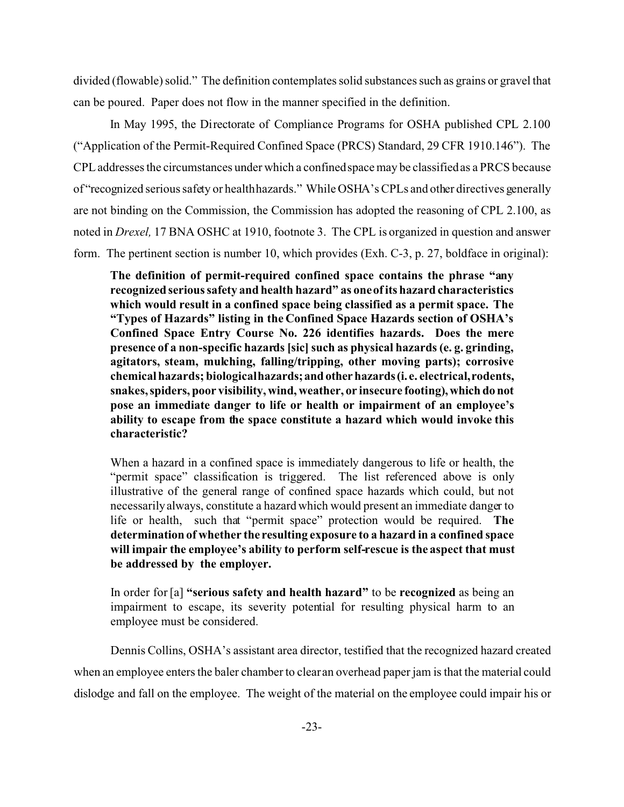divided (flowable) solid." The definition contemplates solid substances such as grains or gravel that can be poured. Paper does not flow in the manner specified in the definition.

In May 1995, the Directorate of Compliance Programs for OSHA published CPL 2.100 ("Application of the Permit-Required Confined Space (PRCS) Standard, 29 CFR 1910.146"). The CPL addresses the circumstances under which a confined space may be classified as a PRCS because of "recognized serious safety or healthhazards." While OSHA's CPLs and other directives generally are not binding on the Commission, the Commission has adopted the reasoning of CPL 2.100, as noted in *Drexel,* 17 BNA OSHC at 1910, footnote 3. The CPL is organized in question and answer form. The pertinent section is number 10, which provides (Exh. C-3, p. 27, boldface in original):

**The definition of permit-required confined space contains the phrase "any recognized serious safety and health hazard" as one of its hazard characteristics which would result in a confined space being classified as a permit space. The "Types of Hazards" listing in the Confined Space Hazards section of OSHA's Confined Space Entry Course No. 226 identifies hazards. Does the mere presence of a non-specific hazards [sic] such as physical hazards (e. g. grinding, agitators, steam, mulching, falling/tripping, other moving parts); corrosive chemical hazards; biologicalhazards;andotherhazards(i. e. electrical,rodents, snakes, spiders, poor visibility, wind, weather, or insecure footing),which donot pose an immediate danger to life or health or impairment of an employee's ability to escape from the space constitute a hazard which would invoke this characteristic?** 

When a hazard in a confined space is immediately dangerous to life or health, the "permit space" classification is triggered. The list referenced above is only illustrative of the general range of confined space hazards which could, but not necessarily always, constitute a hazard which would present an immediate danger to life or health, such that "permit space" protection would be required. **The determination of whether the resulting exposure to a hazard in a confined space will impair the employee's ability to perform self-rescue is the aspect that must be addressed by the employer.** 

In order for [a] **"serious safety and health hazard"** to be **recognized** as being an impairment to escape, its severity potential for resulting physical harm to an employee must be considered.

Dennis Collins, OSHA's assistant area director, testified that the recognized hazard created when an employee enters the baler chamber to clear an overhead paper jam is that the material could dislodge and fall on the employee. The weight of the material on the employee could impair his or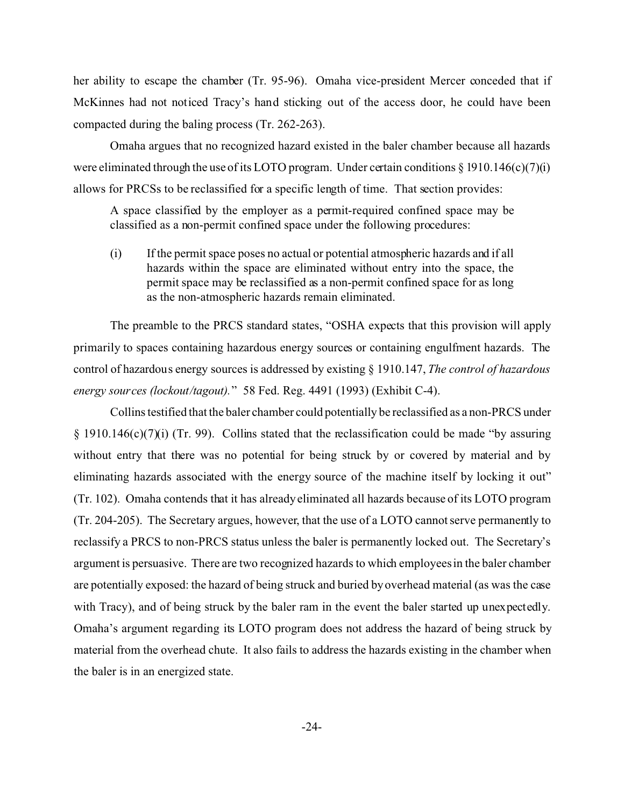her ability to escape the chamber (Tr. 95-96). Omaha vice-president Mercer conceded that if McKinnes had not noticed Tracy's hand sticking out of the access door, he could have been compacted during the baling process (Tr. 262-263).

Omaha argues that no recognized hazard existed in the baler chamber because all hazards were eliminated through the use of its LOTO program. Under certain conditions  $\S$  1910.146(c)(7)(i) allows for PRCSs to be reclassified for a specific length of time. That section provides:

A space classified by the employer as a permit-required confined space may be classified as a non-permit confined space under the following procedures:

(i) If the permit space poses no actual or potential atmospheric hazards and if all hazards within the space are eliminated without entry into the space, the permit space may be reclassified as a non-permit confined space for as long as the non-atmospheric hazards remain eliminated.

The preamble to the PRCS standard states, "OSHA expects that this provision will apply primarily to spaces containing hazardous energy sources or containing engulfment hazards. The control of hazardous energy sources is addressed by existing § 1910.147, *The control of hazardous energy sources (lockout/tagout).*" 58 Fed. Reg. 4491 (1993) (Exhibit C-4).

Collins testified that the baler chamber could potentially be reclassified as a non-PRCS under § 1910.146(c)(7)(i) (Tr. 99). Collins stated that the reclassification could be made "by assuring without entry that there was no potential for being struck by or covered by material and by eliminating hazards associated with the energy source of the machine itself by locking it out" (Tr. 102). Omaha contends that it has already eliminated all hazards because of its LOTO program (Tr. 204-205). The Secretary argues, however, that the use of a LOTO cannot serve permanently to reclassify a PRCS to non-PRCS status unless the baler is permanently locked out. The Secretary's argument is persuasive. There are two recognized hazards to which employees in the baler chamber are potentially exposed: the hazard of being struck and buried by overhead material (as was the case with Tracy), and of being struck by the baler ram in the event the baler started up unexpectedly. Omaha's argument regarding its LOTO program does not address the hazard of being struck by material from the overhead chute. It also fails to address the hazards existing in the chamber when the baler is in an energized state.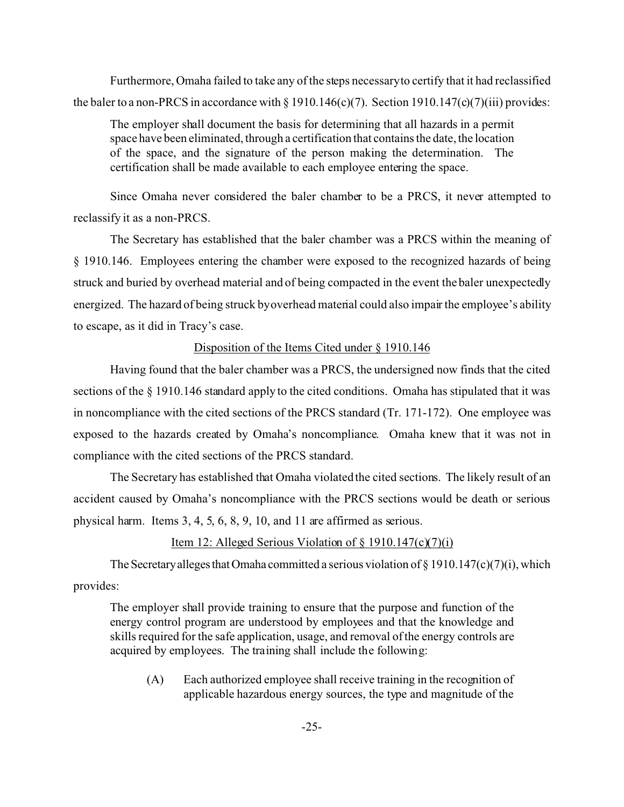Furthermore, Omaha failed to take any of the steps necessaryto certify that it had reclassified the baler to a non-PRCS in accordance with  $\S 1910.146(c)(7)$ . Section  $1910.147(c)(7)(iii)$  provides:

The employer shall document the basis for determining that all hazards in a permit space have been eliminated, through a certification that contains the date, the location of the space, and the signature of the person making the determination. The certification shall be made available to each employee entering the space.

Since Omaha never considered the baler chamber to be a PRCS, it never attempted to reclassify it as a non-PRCS.

The Secretary has established that the baler chamber was a PRCS within the meaning of § 1910.146. Employees entering the chamber were exposed to the recognized hazards of being struck and buried by overhead material and of being compacted in the event the baler unexpectedly energized. The hazard of being struck byoverhead material could also impair the employee's ability to escape, as it did in Tracy's case.

# Disposition of the Items Cited under § 1910.146

Having found that the baler chamber was a PRCS, the undersigned now finds that the cited sections of the § 1910.146 standard apply to the cited conditions. Omaha has stipulated that it was in noncompliance with the cited sections of the PRCS standard (Tr. 171-172). One employee was exposed to the hazards created by Omaha's noncompliance. Omaha knew that it was not in compliance with the cited sections of the PRCS standard.

The Secretary has established that Omaha violated the cited sections. The likely result of an accident caused by Omaha's noncompliance with the PRCS sections would be death or serious physical harm. Items 3, 4, 5, 6, 8, 9, 10, and 11 are affirmed as serious.

# Item 12: Alleged Serious Violation of  $\S$  1910.147(c)(7)(i)

The Secretary alleges that Omaha committed a serious violation of § 1910.147(c)(7)(i), which provides:

The employer shall provide training to ensure that the purpose and function of the energy control program are understood by employees and that the knowledge and skills required for the safe application, usage, and removal of the energy controls are acquired by employees. The training shall include the following:

(A) Each authorized employee shall receive training in the recognition of applicable hazardous energy sources, the type and magnitude of the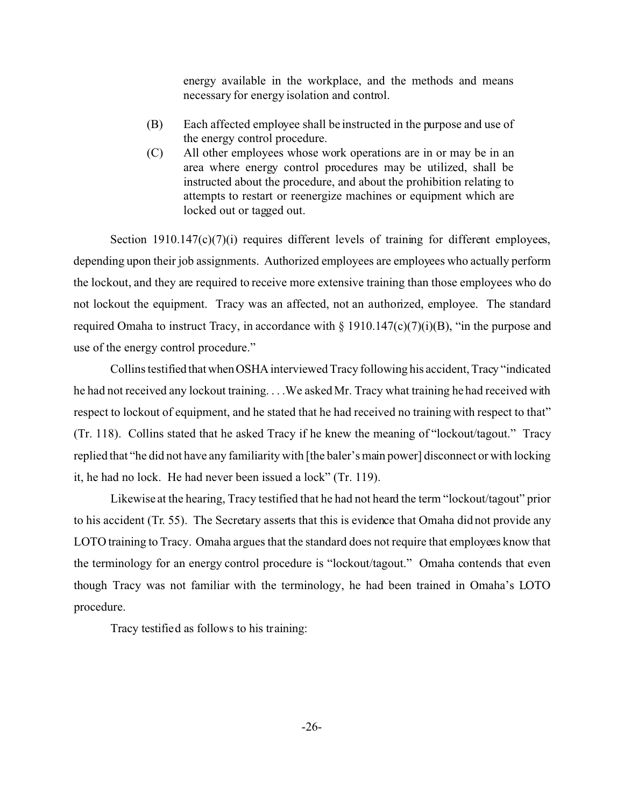energy available in the workplace, and the methods and means necessary for energy isolation and control.

- (B) Each affected employee shall be instructed in the purpose and use of the energy control procedure.
- (C) All other employees whose work operations are in or may be in an area where energy control procedures may be utilized, shall be instructed about the procedure, and about the prohibition relating to attempts to restart or reenergize machines or equipment which are locked out or tagged out.

Section 1910.147(c)(7)(i) requires different levels of training for different employees, depending upon their job assignments. Authorized employees are employees who actually perform the lockout, and they are required to receive more extensive training than those employees who do not lockout the equipment. Tracy was an affected, not an authorized, employee. The standard required Omaha to instruct Tracy, in accordance with  $\S 1910.147(c)(7)(i)(B)$ , "in the purpose and use of the energy control procedure."

Collins testified that when OSHA interviewed Tracy following his accident, Tracy "indicated he had not received any lockout training. . . .We asked Mr. Tracy what training he had received with respect to lockout of equipment, and he stated that he had received no training with respect to that" (Tr. 118). Collins stated that he asked Tracy if he knew the meaning of "lockout/tagout." Tracy replied that "he did not have any familiarity with [the baler's main power] disconnect or with locking it, he had no lock. He had never been issued a lock" (Tr. 119).

Likewise at the hearing, Tracy testified that he had not heard the term "lockout/tagout" prior to his accident (Tr. 55). The Secretary asserts that this is evidence that Omaha did not provide any LOTO training to Tracy. Omaha argues that the standard does not require that employees know that the terminology for an energy control procedure is "lockout/tagout." Omaha contends that even though Tracy was not familiar with the terminology, he had been trained in Omaha's LOTO procedure.

Tracy testified as follows to his training: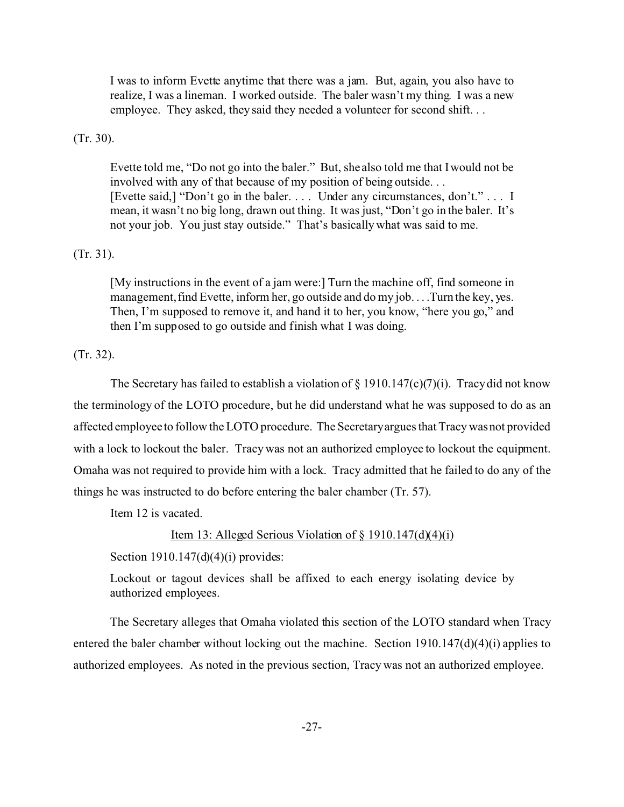I was to inform Evette anytime that there was a jam. But, again, you also have to realize, I was a lineman. I worked outside. The baler wasn't my thing. I was a new employee. They asked, they said they needed a volunteer for second shift...

(Tr. 30).

Evette told me, "Do not go into the baler." But, she also told me that I would not be involved with any of that because of my position of being outside. . . [Evette said,] "Don't go in the baler. . . . Under any circumstances, don't." . . . I mean, it wasn't no big long, drawn out thing. It was just, "Don't go in the baler. It's not your job. You just stay outside." That's basically what was said to me.

## (Tr. 31).

[My instructions in the event of a jam were:] Turn the machine off, find someone in management, find Evette, inform her, go outside and do my job. . . .Turn the key, yes. Then, I'm supposed to remove it, and hand it to her, you know, "here you go," and then I'm supposed to go outside and finish what I was doing.

(Tr. 32).

The Secretary has failed to establish a violation of  $\S$  1910.147(c)(7)(i). Tracy did not know the terminology of the LOTO procedure, but he did understand what he was supposed to do as an affected employee to follow the LOTO procedure. The Secretaryargues that Tracy was not provided with a lock to lockout the baler. Tracy was not an authorized employee to lockout the equipment. Omaha was not required to provide him with a lock. Tracy admitted that he failed to do any of the things he was instructed to do before entering the baler chamber (Tr. 57).

Item 12 is vacated.

### Item 13: Alleged Serious Violation of  $\S$  1910.147(d)(4)(i)

Section  $1910.147(d)(4)(i)$  provides:

Lockout or tagout devices shall be affixed to each energy isolating device by authorized employees.

The Secretary alleges that Omaha violated this section of the LOTO standard when Tracy entered the baler chamber without locking out the machine. Section  $1910.147(d)(4)(i)$  applies to authorized employees. As noted in the previous section, Tracy was not an authorized employee.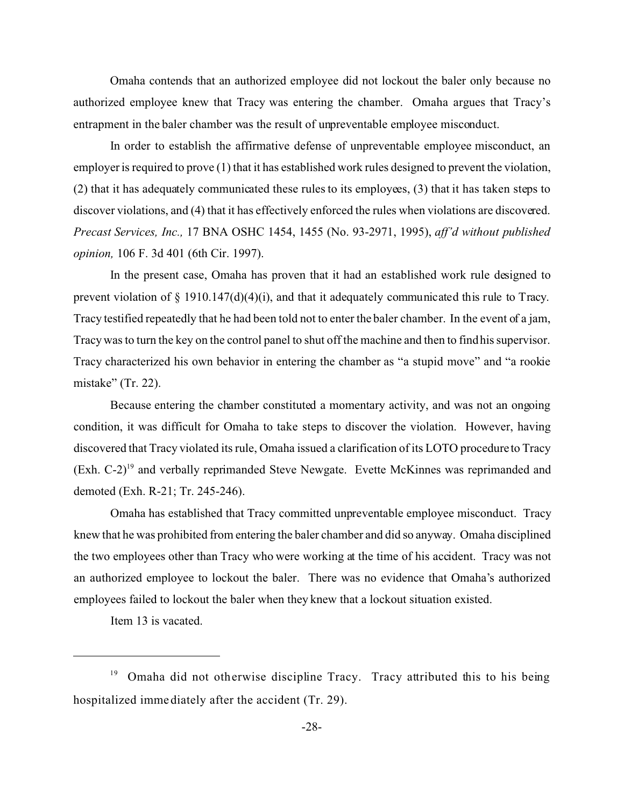Omaha contends that an authorized employee did not lockout the baler only because no authorized employee knew that Tracy was entering the chamber. Omaha argues that Tracy's entrapment in the baler chamber was the result of unpreventable employee misconduct.

In order to establish the affirmative defense of unpreventable employee misconduct, an employer is required to prove (1) that it has established work rules designed to prevent the violation, (2) that it has adequately communicated these rules to its employees, (3) that it has taken steps to discover violations, and (4) that it has effectively enforced the rules when violations are discovered. *Precast Services, Inc.,* 17 BNA OSHC 1454, 1455 (No. 93-2971, 1995), *aff'd without published opinion,* 106 F. 3d 401 (6th Cir. 1997).

In the present case, Omaha has proven that it had an established work rule designed to prevent violation of § 1910.147(d)(4)(i), and that it adequately communicated this rule to Tracy. Tracy testified repeatedly that he had been told not to enter the baler chamber. In the event of a jam, Tracy was to turn the key on the control panel to shut off the machine and then to find his supervisor. Tracy characterized his own behavior in entering the chamber as "a stupid move" and "a rookie mistake" (Tr. 22).

Because entering the chamber constituted a momentary activity, and was not an ongoing condition, it was difficult for Omaha to take steps to discover the violation. However, having discovered that Tracy violated its rule, Omaha issued a clarification of its LOTO procedure to Tracy (Exh. C-2)19 and verbally reprimanded Steve Newgate. Evette McKinnes was reprimanded and demoted (Exh. R-21; Tr. 245-246).

Omaha has established that Tracy committed unpreventable employee misconduct. Tracy knew that he was prohibited from entering the baler chamber and did so anyway. Omaha disciplined the two employees other than Tracy who were working at the time of his accident. Tracy was not an authorized employee to lockout the baler. There was no evidence that Omaha's authorized employees failed to lockout the baler when they knew that a lockout situation existed.

Item 13 is vacated.

<sup>&</sup>lt;sup>19</sup> Omaha did not otherwise discipline Tracy. Tracy attributed this to his being hospitalized immediately after the accident (Tr. 29).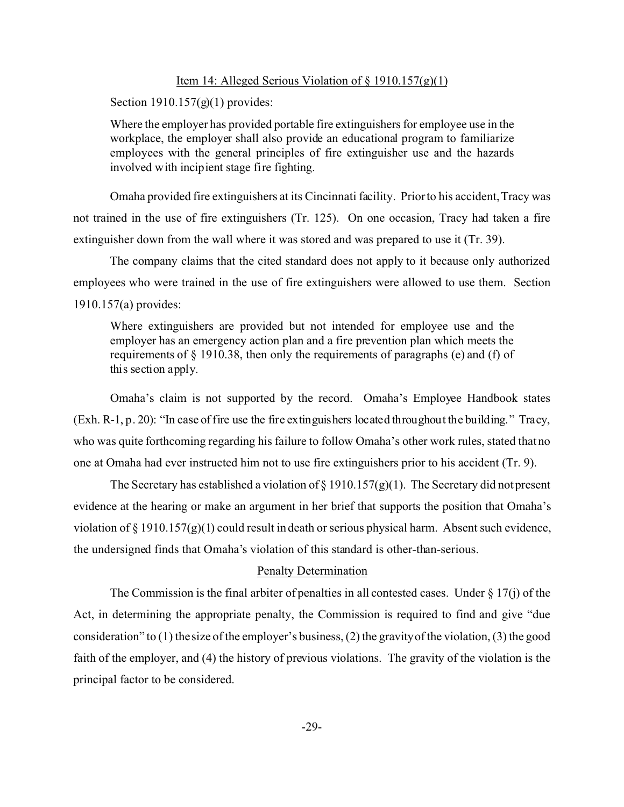### Item 14: Alleged Serious Violation of  $\S$  1910.157(g)(1)

Section 1910.157(g)(1) provides:

Where the employer has provided portable fire extinguishers for employee use in the workplace, the employer shall also provide an educational program to familiarize employees with the general principles of fire extinguisher use and the hazards involved with incipient stage fire fighting.

Omaha provided fire extinguishers at its Cincinnati facility. Prior to his accident, Tracy was not trained in the use of fire extinguishers (Tr. 125). On one occasion, Tracy had taken a fire extinguisher down from the wall where it was stored and was prepared to use it (Tr. 39).

The company claims that the cited standard does not apply to it because only authorized employees who were trained in the use of fire extinguishers were allowed to use them. Section 1910.157(a) provides:

Where extinguishers are provided but not intended for employee use and the employer has an emergency action plan and a fire prevention plan which meets the requirements of  $\S$  1910.38, then only the requirements of paragraphs (e) and (f) of this section apply.

Omaha's claim is not supported by the record. Omaha's Employee Handbook states (Exh. R-1, p. 20): "In case of fire use the fire extinguishers located throughout the building." Tracy, who was quite forthcoming regarding his failure to follow Omaha's other work rules, stated that no one at Omaha had ever instructed him not to use fire extinguishers prior to his accident (Tr. 9).

The Secretary has established a violation of § 1910.157(g)(1). The Secretary did not present evidence at the hearing or make an argument in her brief that supports the position that Omaha's violation of  $\S 1910.157(g)(1)$  could result in death or serious physical harm. Absent such evidence, the undersigned finds that Omaha's violation of this standard is other-than-serious.

# Penalty Determination

The Commission is the final arbiter of penalties in all contested cases. Under  $\S 17(i)$  of the Act, in determining the appropriate penalty, the Commission is required to find and give "due consideration" to (1) the size of the employer's business, (2) the gravityof the violation, (3) the good faith of the employer, and (4) the history of previous violations. The gravity of the violation is the principal factor to be considered.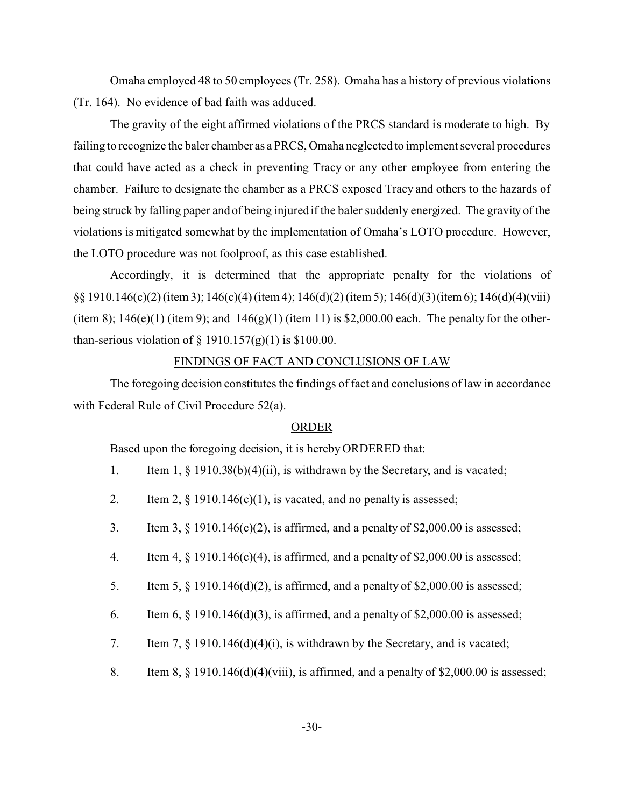Omaha employed 48 to 50 employees (Tr. 258). Omaha has a history of previous violations (Tr. 164). No evidence of bad faith was adduced.

The gravity of the eight affirmed violations of the PRCS standard is moderate to high. By failing to recognize the baler chamber as a PRCS, Omaha neglected to implement several procedures that could have acted as a check in preventing Tracy or any other employee from entering the chamber. Failure to designate the chamber as a PRCS exposed Tracy and others to the hazards of being struck by falling paper and of being injured if the baler suddenly energized. The gravity of the violations is mitigated somewhat by the implementation of Omaha's LOTO procedure. However, the LOTO procedure was not foolproof, as this case established.

Accordingly, it is determined that the appropriate penalty for the violations of §§ 1910.146(c)(2) (item 3); 146(c)(4) (item 4); 146(d)(2) (item 5); 146(d)(3) (item6); 146(d)(4)(viii) (item 8);  $146(e)(1)$  (item 9); and  $146(g)(1)$  (item 11) is \$2,000.00 each. The penalty for the otherthan-serious violation of  $\S$  1910.157(g)(1) is \$100.00.

### FINDINGS OF FACT AND CONCLUSIONS OF LAW

The foregoing decision constitutes the findings of fact and conclusions of law in accordance with Federal Rule of Civil Procedure 52(a).

### ORDER

Based upon the foregoing decision, it is hereby ORDERED that:

- 1. Item 1, § 1910.38(b)(4)(ii), is withdrawn by the Secretary, and is vacated;
- 2. Item 2,  $\S$  1910.146(c)(1), is vacated, and no penalty is assessed;
- 3. Item 3,  $\S$  1910.146(c)(2), is affirmed, and a penalty of \$2,000.00 is assessed;
- 4. Item 4,  $\S$  1910.146(c)(4), is affirmed, and a penalty of \$2,000.00 is assessed;
- 5. Item 5, § 1910.146(d)(2), is affirmed, and a penalty of \$2,000.00 is assessed;
- 6. Item 6,  $\S$  1910.146(d)(3), is affirmed, and a penalty of \$2,000.00 is assessed;
- 7. Item 7, § 1910.146(d)(4)(i), is withdrawn by the Secretary, and is vacated;
- 8. Item 8,  $\S$  1910.146(d)(4)(viii), is affirmed, and a penalty of \$2,000.00 is assessed;